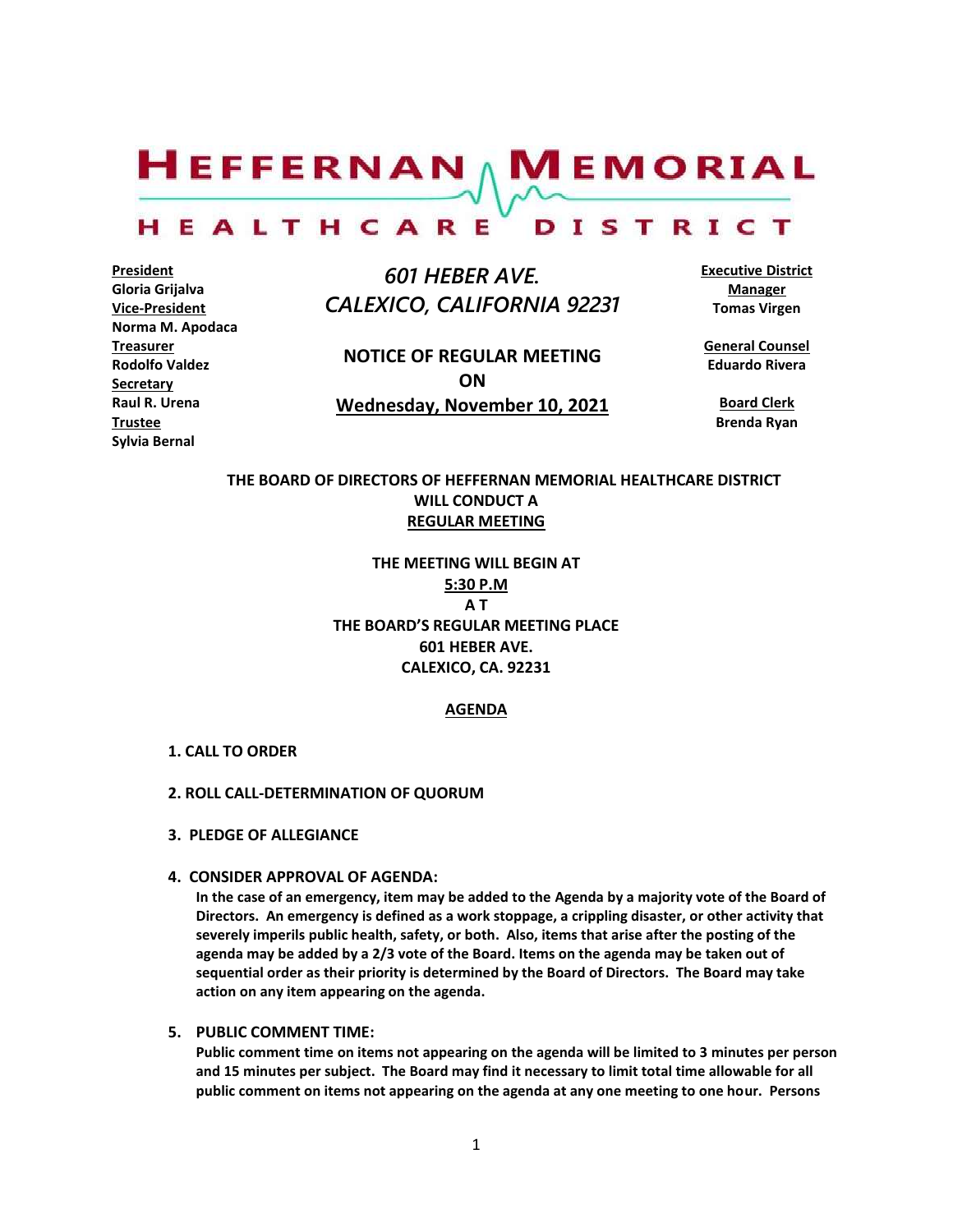$H$ EFFERNAN  $\wedge$  M EMORIAL

#### HEALTHCARE DISTRICT

**President Gloria Grijalva Vice-President Norma M. Apodaca Treasurer Rodolfo Valdez Secretary Raul R. Urena Trustee Sylvia Bernal**

 *601 HEBER AVE. CALEXICO, CALIFORNIA 92231*

**NOTICE OF REGULAR MEETING ON Wednesday, November 10, 2021** **Executive District Manager Tomas Virgen**

**General Counsel Eduardo Rivera**

**Board Clerk Brenda Ryan**

## **THE BOARD OF DIRECTORS OF HEFFERNAN MEMORIAL HEALTHCARE DISTRICT WILL CONDUCT A REGULAR MEETING**

**THE MEETING WILL BEGIN AT 5:30 P.M A T THE BOARD'S REGULAR MEETING PLACE 601 HEBER AVE. CALEXICO, CA. 92231**

### **AGENDA**

#### **1. CALL TO ORDER**

#### **2. ROLL CALL-DETERMINATION OF QUORUM**

- **3. PLEDGE OF ALLEGIANCE**
- **4. CONSIDER APPROVAL OF AGENDA:**

**In the case of an emergency, item may be added to the Agenda by a majority vote of the Board of Directors. An emergency is defined as a work stoppage, a crippling disaster, or other activity that severely imperils public health, safety, or both. Also, items that arise after the posting of the agenda may be added by a 2/3 vote of the Board. Items on the agenda may be taken out of sequential order as their priority is determined by the Board of Directors. The Board may take action on any item appearing on the agenda.**

## **5. PUBLIC COMMENT TIME:**

**Public comment time on items not appearing on the agenda will be limited to 3 minutes per person and 15 minutes per subject. The Board may find it necessary to limit total time allowable for all public comment on items not appearing on the agenda at any one meeting to one hour. Persons**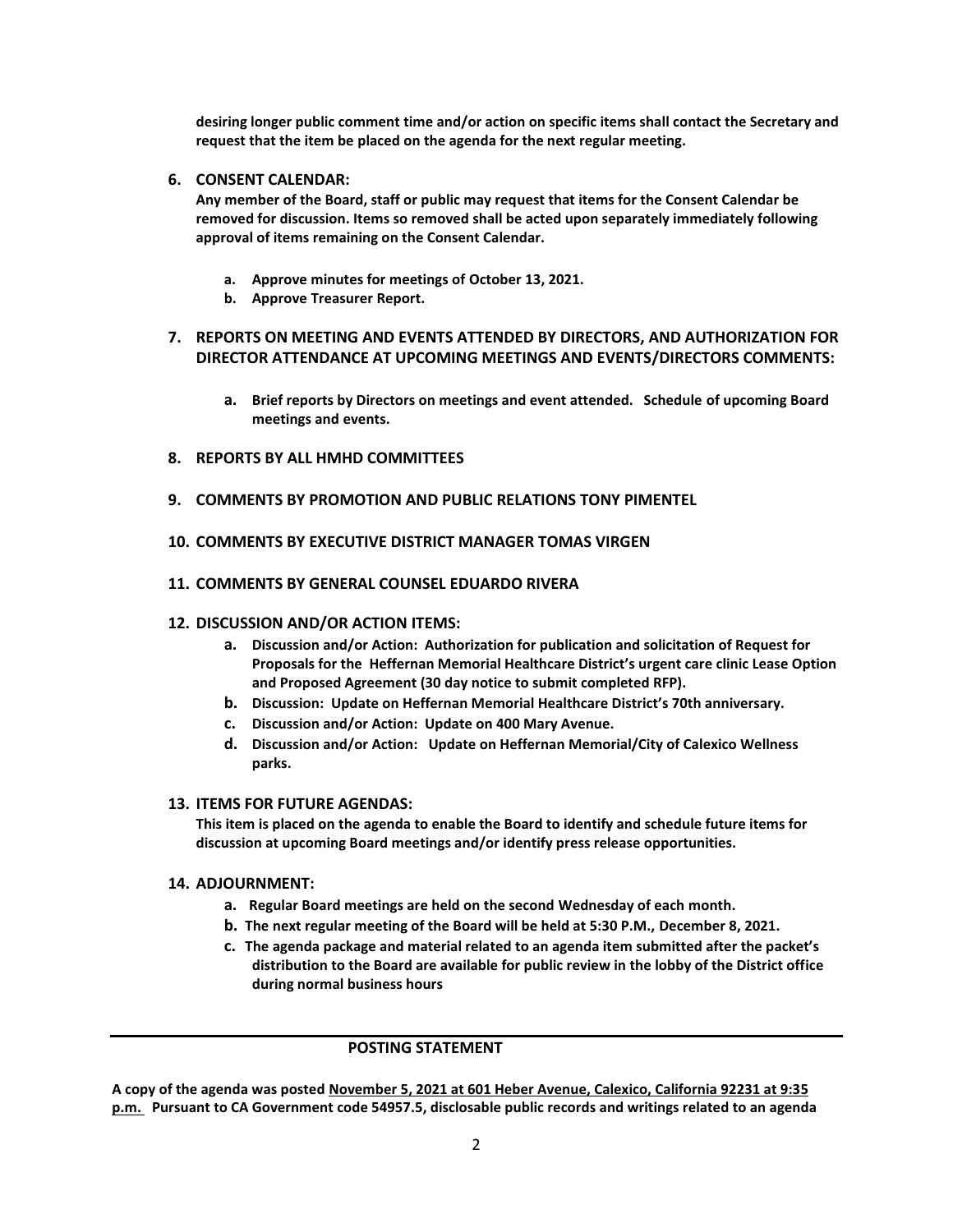**desiring longer public comment time and/or action on specific items shall contact the Secretary and request that the item be placed on the agenda for the next regular meeting.**

## **6. CONSENT CALENDAR:**

**Any member of the Board, staff or public may request that items for the Consent Calendar be removed for discussion. Items so removed shall be acted upon separately immediately following approval of items remaining on the Consent Calendar.**

- **a. Approve minutes for meetings of October 13, 2021.**
- **b. Approve Treasurer Report.**

## **7. REPORTS ON MEETING AND EVENTS ATTENDED BY DIRECTORS, AND AUTHORIZATION FOR DIRECTOR ATTENDANCE AT UPCOMING MEETINGS AND EVENTS/DIRECTORS COMMENTS:**

- **a. Brief reports by Directors on meetings and event attended. Schedule of upcoming Board meetings and events.**
- **8. REPORTS BY ALL HMHD COMMITTEES**
- **9. COMMENTS BY PROMOTION AND PUBLIC RELATIONS TONY PIMENTEL**
- **10. COMMENTS BY EXECUTIVE DISTRICT MANAGER TOMAS VIRGEN**
- **11. COMMENTS BY GENERAL COUNSEL EDUARDO RIVERA**

## **12. DISCUSSION AND/OR ACTION ITEMS:**

- **a. Discussion and/or Action: Authorization for publication and solicitation of Request for Proposals for the Heffernan Memorial Healthcare District's urgent care clinic Lease Option and Proposed Agreement (30 day notice to submit completed RFP).**
- **b. Discussion: Update on Heffernan Memorial Healthcare District's 70th anniversary.**
- **c. Discussion and/or Action: Update on 400 Mary Avenue.**
- **d. Discussion and/or Action: Update on Heffernan Memorial/City of Calexico Wellness parks.**

## **13. ITEMS FOR FUTURE AGENDAS:**

**This item is placed on the agenda to enable the Board to identify and schedule future items for discussion at upcoming Board meetings and/or identify press release opportunities.**

## **14. ADJOURNMENT:**

- **a. Regular Board meetings are held on the second Wednesday of each month.**
- **b. The next regular meeting of the Board will be held at 5:30 P.M., December 8, 2021.**
- **c. The agenda package and material related to an agenda item submitted after the packet's distribution to the Board are available for public review in the lobby of the District office during normal business hours**

## **POSTING STATEMENT**

**A copy of the agenda was posted November 5, 2021 at 601 Heber Avenue, Calexico, California 92231 at 9:35 p.m. Pursuant to CA Government code 54957.5, disclosable public records and writings related to an agenda**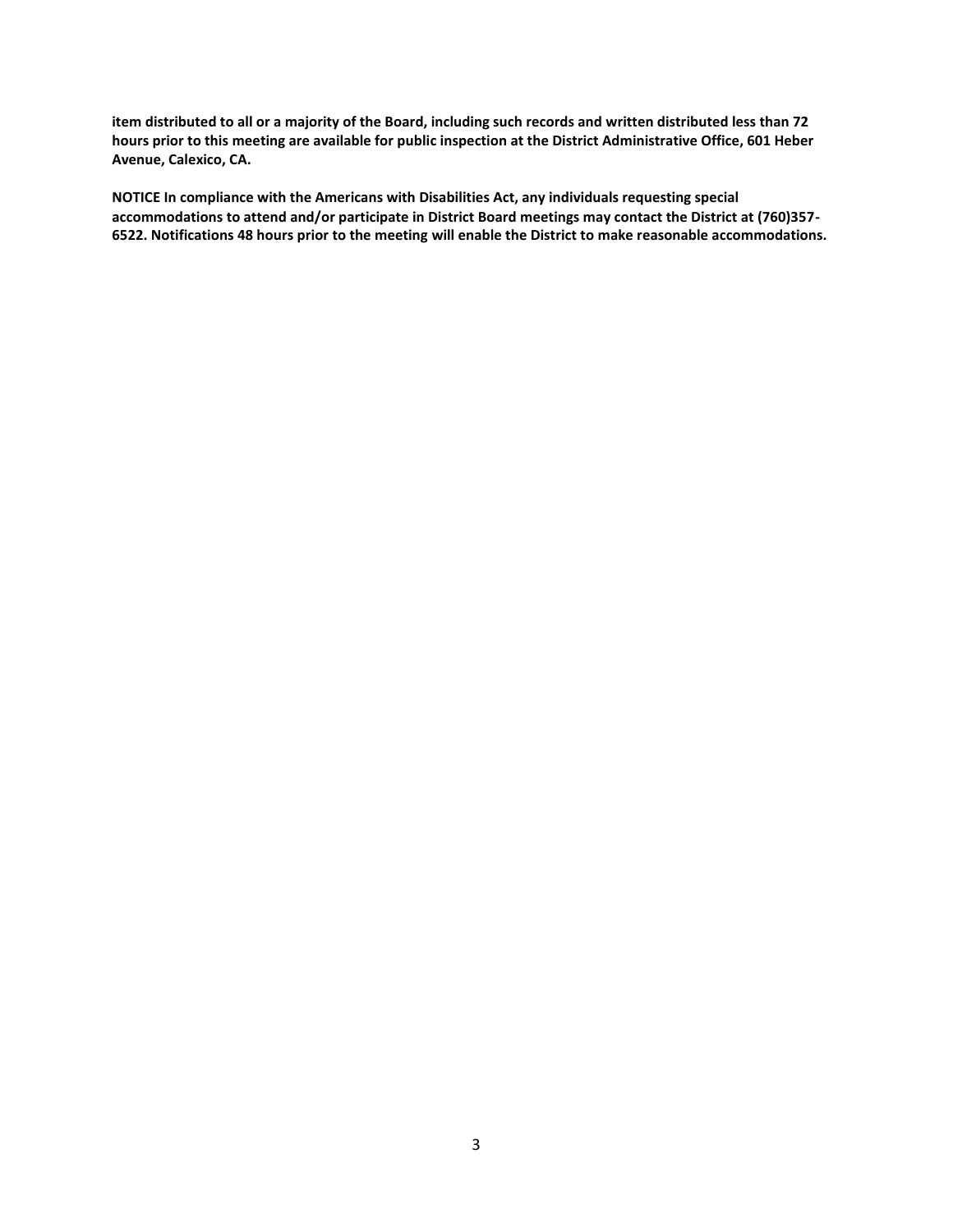**item distributed to all or a majority of the Board, including such records and written distributed less than 72 hours prior to this meeting are available for public inspection at the District Administrative Office, 601 Heber Avenue, Calexico, CA.**

**NOTICE In compliance with the Americans with Disabilities Act, any individuals requesting special accommodations to attend and/or participate in District Board meetings may contact the District at (760)357- 6522. Notifications 48 hours prior to the meeting will enable the District to make reasonable accommodations.**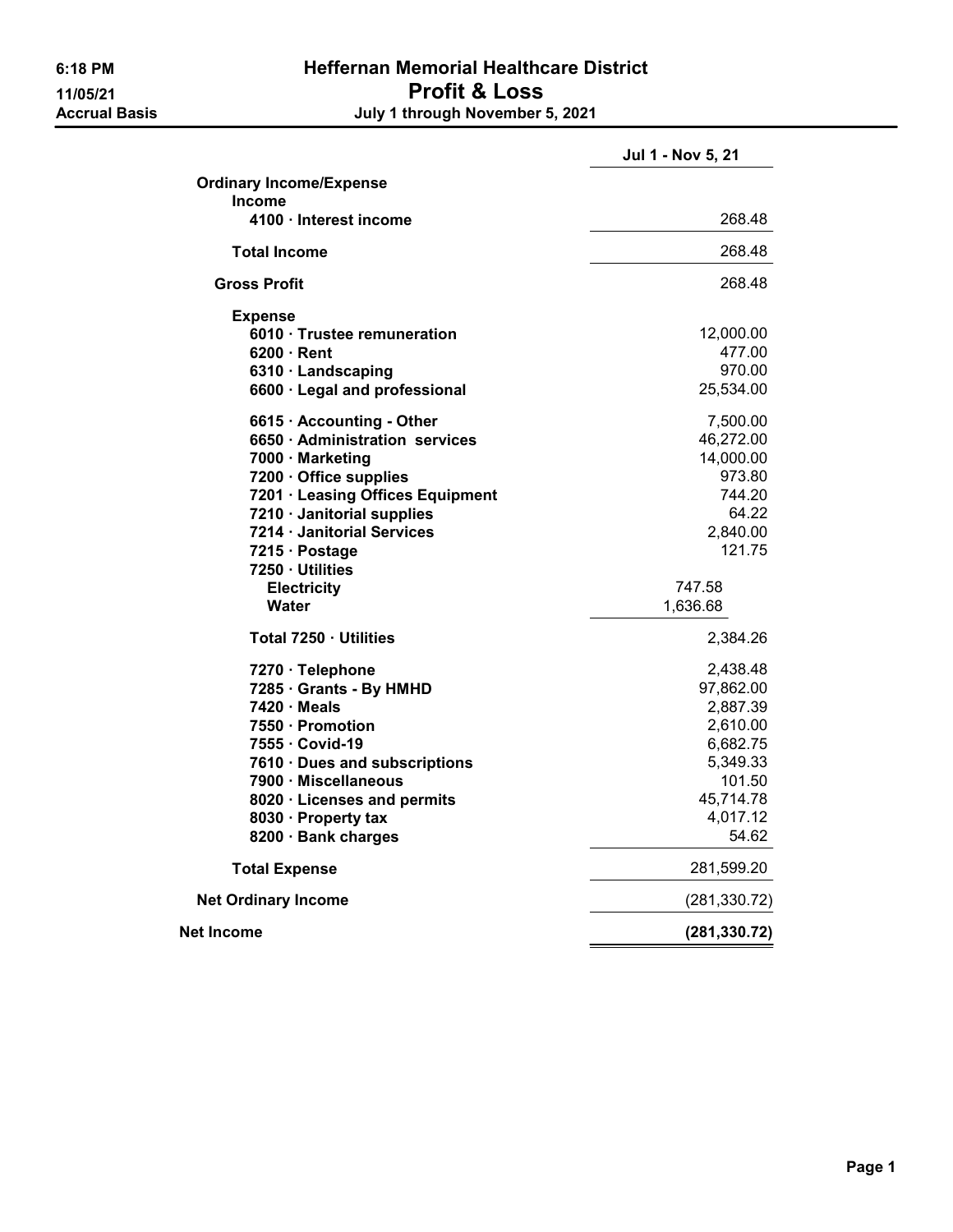## 6:18 PM Heffernan Memorial Healthcare District 11/05/21 Profit & Loss<br>Accrual Basis degree of the July 1 through November July 1 through November 5, 2021

|                                  | Jul 1 - Nov 5, 21 |
|----------------------------------|-------------------|
| <b>Ordinary Income/Expense</b>   |                   |
| <b>Income</b>                    |                   |
| 4100 · Interest income           | 268.48            |
| <b>Total Income</b>              | 268.48            |
| Gross Profit                     | 268.48            |
| <b>Expense</b>                   |                   |
| 6010 · Trustee remuneration      | 12,000.00         |
| $6200 \cdot$ Rent                | 477.00            |
| 6310 · Landscaping               | 970.00            |
| 6600 · Legal and professional    | 25,534.00         |
| 6615 · Accounting - Other        | 7,500.00          |
| 6650 · Administration services   | 46,272.00         |
| 7000 · Marketing                 | 14,000.00         |
| 7200 · Office supplies           | 973.80            |
| 7201 · Leasing Offices Equipment | 744.20            |
| 7210 · Janitorial supplies       | 64.22             |
| 7214 · Janitorial Services       | 2,840.00          |
| 7215 · Postage                   | 121.75            |
| 7250 Utilities                   |                   |
| <b>Electricity</b>               | 747.58            |
| <b>Water</b>                     | 1,636.68          |
| Total 7250 · Utilities           | 2,384.26          |
| 7270 · Telephone                 | 2,438.48          |
| 7285 · Grants - By HMHD          | 97,862.00         |
| 7420 · Meals                     | 2,887.39          |
| 7550 · Promotion                 | 2,610.00          |
| 7555 · Covid-19                  | 6,682.75          |
| 7610 · Dues and subscriptions    | 5,349.33          |
| 7900 · Miscellaneous             | 101.50            |
| 8020 · Licenses and permits      | 45,714.78         |
| 8030 · Property tax              | 4,017.12          |
| 8200 · Bank charges              | 54.62             |
| <b>Total Expense</b>             | 281,599.20        |
| <b>Net Ordinary Income</b>       | (281, 330.72)     |
| <b>Net Income</b>                | (281, 330.72)     |